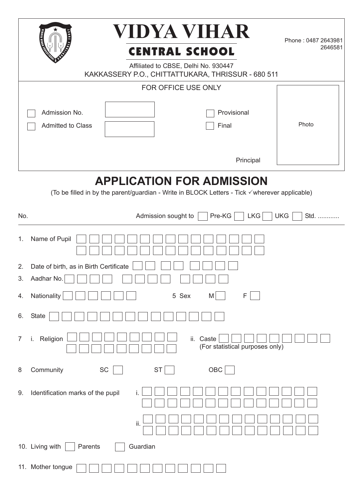|                                                                                                                                   | VIDYA VIHAR<br><b>STATE VARD</b><br><b>CENTRAL SCHOOL</b><br>Affiliated to CBSE, Delhi No. 930447 | Phone: 0487 2643981<br>2646581 |  |  |  |  |
|-----------------------------------------------------------------------------------------------------------------------------------|---------------------------------------------------------------------------------------------------|--------------------------------|--|--|--|--|
|                                                                                                                                   | KAKKASSERY P.O., CHITTATTUKARA, THRISSUR - 680 511                                                |                                |  |  |  |  |
|                                                                                                                                   | FOR OFFICE USE ONLY                                                                               |                                |  |  |  |  |
|                                                                                                                                   | Provisional<br>Admission No.<br>Admitted to Class<br>Final                                        | Photo                          |  |  |  |  |
|                                                                                                                                   | Principal                                                                                         |                                |  |  |  |  |
| <b>APPLICATION FOR ADMISSION</b><br>(To be filled in by the parent/guardian - Write in BLOCK Letters - Tick √wherever applicable) |                                                                                                   |                                |  |  |  |  |
| No.                                                                                                                               | Admission sought to<br>Pre-KG<br><b>LKG</b>                                                       | <b>UKG</b><br>Std.             |  |  |  |  |
| 1.                                                                                                                                | Name of Pupil                                                                                     |                                |  |  |  |  |
| 2.<br>3.                                                                                                                          | Date of birth, as in Birth Certificate<br>Aadhar No.                                              |                                |  |  |  |  |
| 4.                                                                                                                                | Nationality<br>5 Sex<br>F<br>M                                                                    |                                |  |  |  |  |
| 6.                                                                                                                                | State                                                                                             |                                |  |  |  |  |
| $\overline{7}$                                                                                                                    | i. Religion<br>ii. Caste<br>(For statistical purposes only)                                       |                                |  |  |  |  |
| 8                                                                                                                                 | Community<br>OBC<br>SC<br><b>ST</b>                                                               |                                |  |  |  |  |
| 9.                                                                                                                                | Identification marks of the pupil<br>i.                                                           |                                |  |  |  |  |
|                                                                                                                                   | ii.                                                                                               |                                |  |  |  |  |
|                                                                                                                                   | 10. Living with<br>Guardian<br>Parents                                                            |                                |  |  |  |  |
|                                                                                                                                   | 11. Mother tongue                                                                                 |                                |  |  |  |  |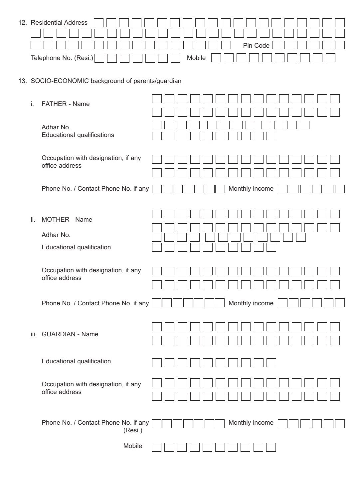| Pin Code |                                                  |
|----------|--------------------------------------------------|
| Mobile   |                                                  |
|          | 12. Residential Address<br>Telephone No. (Resi.) |

## 13. SOCIO-ECONOMIC background of parents/guardian

| i.   | <b>FATHER - Name</b>                                           |                |
|------|----------------------------------------------------------------|----------------|
|      | Adhar No.<br><b>Educational qualifications</b>                 |                |
|      | Occupation with designation, if any<br>office address          |                |
|      | Phone No. / Contact Phone No. if any                           | Monthly income |
| ii.  | <b>MOTHER - Name</b><br>Adhar No.<br>Educational qualification |                |
|      | Occupation with designation, if any<br>office address          |                |
|      | Phone No. / Contact Phone No. if any                           | Monthly income |
| iii. | <b>GUARDIAN - Name</b>                                         |                |
|      | Educational qualification                                      |                |
|      | Occupation with designation, if any<br>office address          |                |
|      | Phone No. / Contact Phone No. if any<br>(Resi.)                | Monthly income |
|      | Mobile                                                         |                |